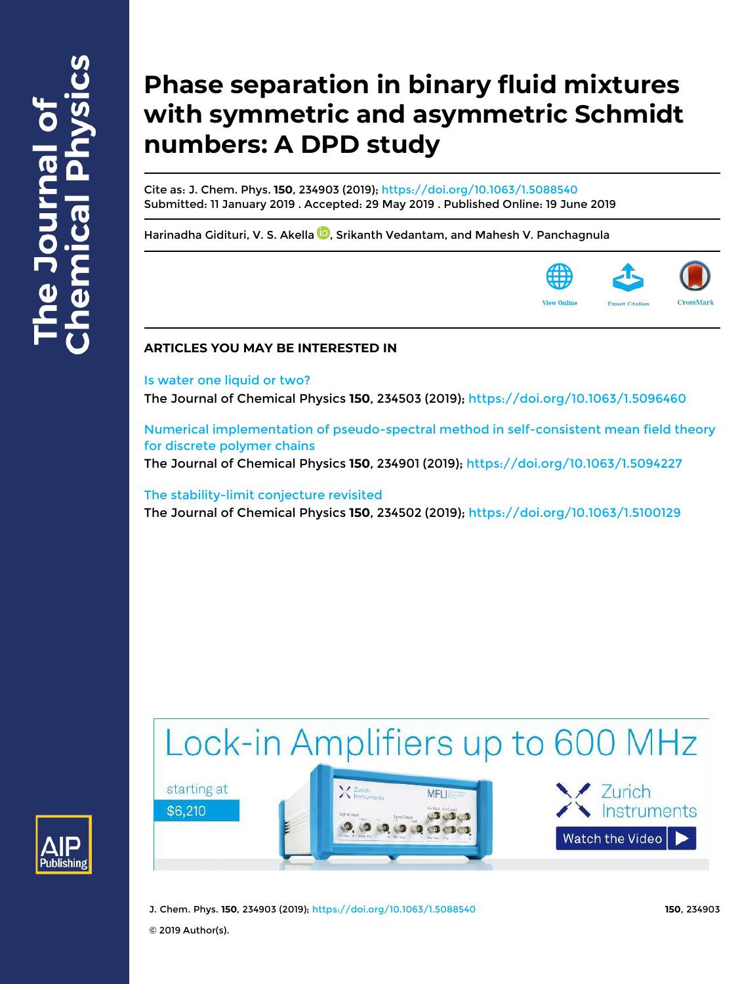# **Phase separation in binary fluid mixtures with symmetric and asymmetric Schmidt numbers: A DPD study**

Cite as: J. Chem. Phys. **150**, 234903 (2019); https://doi.org/10.1063/1.5088540 Submitted: 11 January 2019 . Accepted: 29 May 2019 . Published Online: 19 June 2019

Harinadha Gidituri, V. S. Akella **D**, Srikanth Vedantam, and Mahesh V. Panchagnula



## **ARTICLES YOU MAY BE INTERESTED IN**

### Is water one liquid or two?

The Journal of Chemical Physics **150**, 234503 (2019); https://doi.org/10.1063/1.5096460

Numerical implementation of pseudo-spectral method in self-consistent mean field theory for discrete polymer chains

The Journal of Chemical Physics **150**, 234901 (2019); https://doi.org/10.1063/1.5094227

## The stability-limit conjecture revisited

The Journal of Chemical Physics **150**, 234502 (2019); https://doi.org/10.1063/1.5100129

# Lock-in Amplifiers up to 600 MHz







J. Chem. Phys. **150**, 234903 (2019); https://doi.org/10.1063/1.5088540 **150**, 234903

© 2019 Author(s).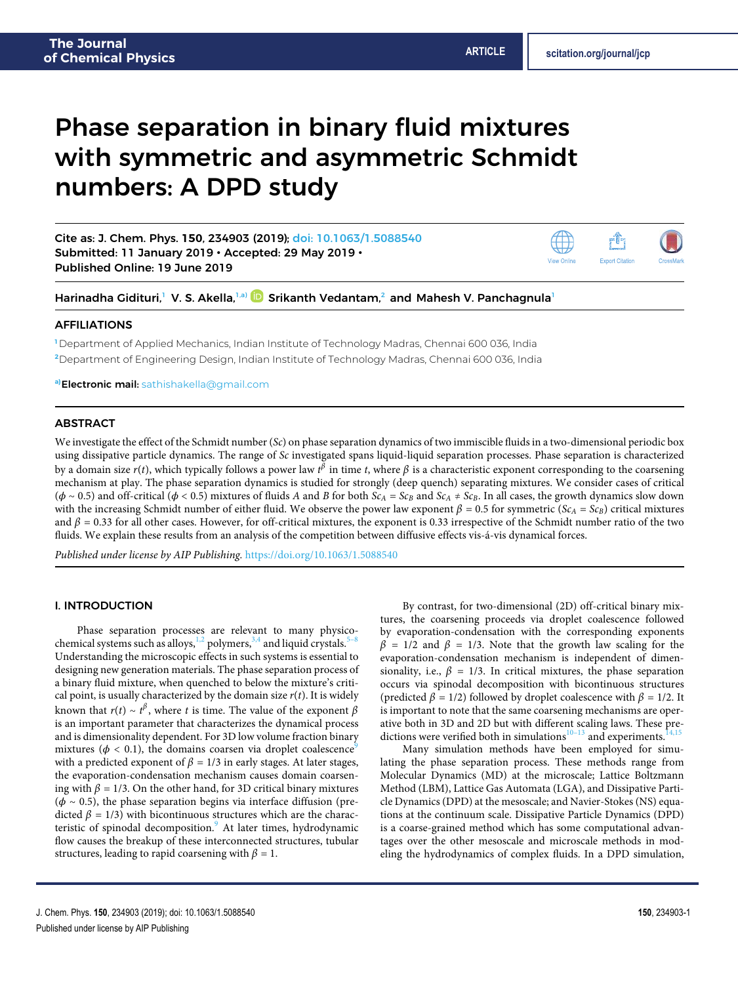# Phase separation in binary fluid mixtures with symmetric and asymmetric Schmidt numbers: A DPD study

Cite as: J. Chem. Phys. **150**, 234903 (2019); doi: 10.1063/1.5088540 Submitted: 11 January 2019 • Accepted: 29 May 2019 • Published Online: 19 June 2019

Harinadha Gidituri, $^1$  V. S. Akella, $^{1a)}$   $\blacksquare$  Srikanth Vedantam, $^2$  and Mahesh V. Panchagnula $^1$ 

#### AFFILIATIONS

**<sup>1</sup>** Department of Applied Mechanics, Indian Institute of Technology Madras, Chennai 600 036, India **<sup>2</sup>**Department of Engineering Design, Indian Institute of Technology Madras, Chennai 600 036, India

**a)**Electronic mail: sathishakella@gmail.com

#### ABSTRACT

We investigate the effect of the Schmidt number (Sc) on phase separation dynamics of two immiscible fluids in a two-dimensional periodic box using dissipative particle dynamics. The range of Sc investigated spans liquid-liquid separation processes. Phase separation is characterized by a domain size  $r(t)$ , which typically follows a power law  $t^\beta$  in time  $t$ , where  $\beta$  is a characteristic exponent corresponding to the coarsening mechanism at play. The phase separation dynamics is studied for strongly (deep quench) separating mixtures. We consider cases of critical ( $\phi$  ~ 0.5) and off-critical ( $\phi$  < 0.5) mixtures of fluids A and B for both Sc<sub>A</sub> = Sc<sub>B</sub> and Sc<sub>A</sub> ≠ Sc<sub>B</sub>. In all cases, the growth dynamics slow down with the increasing Schmidt number of either fluid. We observe the power law exponent  $\beta = 0.5$  for symmetric ( $Sc_A = Sc_B$ ) critical mixtures and  $\beta$  = 0.33 for all other cases. However, for off-critical mixtures, the exponent is 0.33 irrespective of the Schmidt number ratio of the two fluids. We explain these results from an analysis of the competition between diffusive effects vis-á-vis dynamical forces.

Published under license by AIP Publishing. https://doi.org/10.1063/1.5088540

#### I. INTRODUCTION

Phase separation processes are relevant to many physicochemical systems such as alloys, $1,2$  polymers,  $3,4$  and liquid crystals.<sup>5</sup> Understanding the microscopic effects in such systems is essential to designing new generation materials. The phase separation process of a binary fluid mixture, when quenched to below the mixture's critical point, is usually characterized by the domain size  $r(t)$ . It is widely known that  $r(t) \sim t^{\beta}$ , where t is time. The value of the exponent  $\beta$ is an important parameter that characterizes the dynamical process and is dimensionality dependent. For 3D low volume fraction binary mixtures ( $\phi$  < 0.1), the domains coarsen via droplet coalescence<sup>9</sup> with a predicted exponent of  $\beta = 1/3$  in early stages. At later stages, the evaporation-condensation mechanism causes domain coarsening with  $\beta = 1/3$ . On the other hand, for 3D critical binary mixtures (*𝜙* ∼ 0.5), the phase separation begins via interface diffusion (predicted  $\beta = 1/3$ ) with bicontinuous structures which are the characteristic of spinodal decomposition.<sup>9</sup> At later times, hydrodynamic flow causes the breakup of these interconnected structures, tubular structures, leading to rapid coarsening with  $\beta = 1$ .

By contrast, for two-dimensional (2D) off-critical binary mixtures, the coarsening proceeds via droplet coalescence followed by evaporation-condensation with the corresponding exponents  $\beta$  = 1/2 and  $\beta$  = 1/3. Note that the growth law scaling for the evaporation-condensation mechanism is independent of dimensionality, i.e.,  $\beta = 1/3$ . In critical mixtures, the phase separation occurs via spinodal decomposition with bicontinuous structures (predicted  $\beta = 1/2$ ) followed by droplet coalescence with  $\beta = 1/2$ . It is important to note that the same coarsening mechanisms are operative both in 3D and 2D but with different scaling laws. These predictions were verified both in simulations $10^{-13}$  and experiments.<sup>1</sup>

Many simulation methods have been employed for simulating the phase separation process. These methods range from Molecular Dynamics (MD) at the microscale; Lattice Boltzmann Method (LBM), Lattice Gas Automata (LGA), and Dissipative Particle Dynamics (DPD) at the mesoscale; and Navier-Stokes (NS) equations at the continuum scale. Dissipative Particle Dynamics (DPD) is a coarse-grained method which has some computational advantages over the other mesoscale and microscale methods in modeling the hydrodynamics of complex fluids. In a DPD simulation,



View Online

**Export Citation**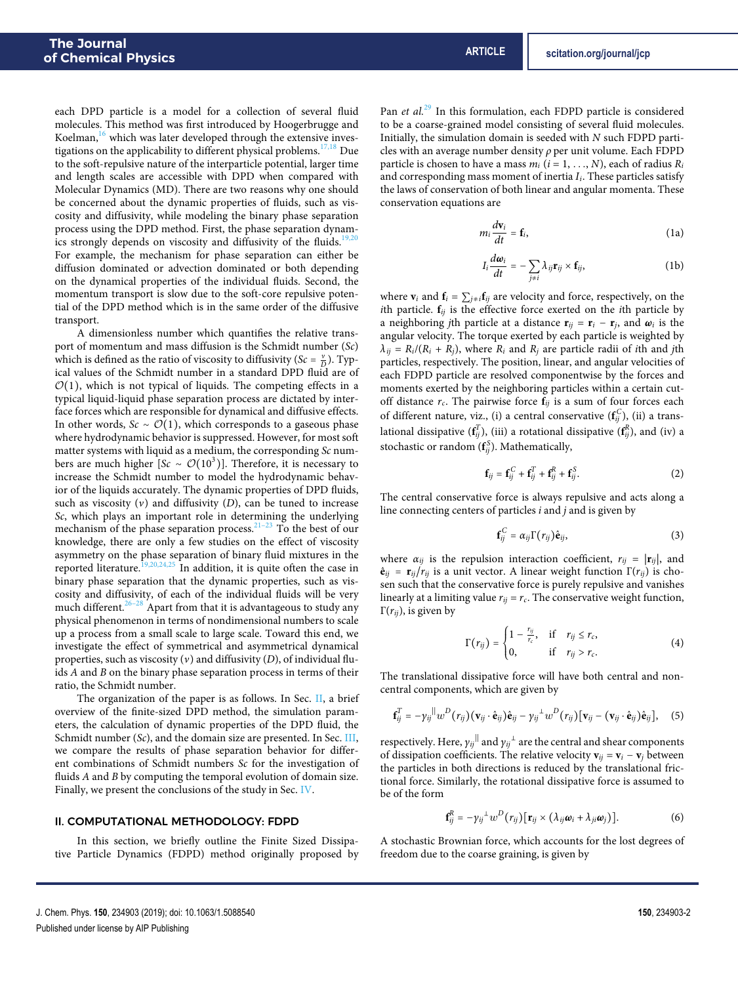each DPD particle is a model for a collection of several fluid molecules. This method was first introduced by Hoogerbrugge and Koelman,<sup>16</sup> which was later developed through the extensive investigations on the applicability to different physical problems.  $^{17,18}$  Due to the soft-repulsive nature of the interparticle potential, larger time and length scales are accessible with DPD when compared with Molecular Dynamics (MD). There are two reasons why one should be concerned about the dynamic properties of fluids, such as viscosity and diffusivity, while modeling the binary phase separation process using the DPD method. First, the phase separation dynamics strongly depends on viscosity and diffusivity of the fluids.<sup>19,20</sup> For example, the mechanism for phase separation can either be diffusion dominated or advection dominated or both depending on the dynamical properties of the individual fluids. Second, the momentum transport is slow due to the soft-core repulsive potential of the DPD method which is in the same order of the diffusive transport.

A dimensionless number which quantifies the relative transport of momentum and mass diffusion is the Schmidt number (Sc) which is defined as the ratio of viscosity to diffusivity ( $Sc = \frac{v}{D}$ ). Typical values of the Schmidt number in a standard DPD fluid are of  $\mathcal{O}(1)$ , which is not typical of liquids. The competing effects in a typical liquid-liquid phase separation process are dictated by interface forces which are responsible for dynamical and diffusive effects. In other words,  $Sc \sim \mathcal{O}(1)$ , which corresponds to a gaseous phase where hydrodynamic behavior is suppressed. However, for most soft matter systems with liquid as a medium, the corresponding Sc numbers are much higher [Sc ~  $\mathcal{O}(10^3)$ ]. Therefore, it is necessary to increase the Schmidt number to model the hydrodynamic behavior of the liquids accurately. The dynamic properties of DPD fluids, such as viscosity  $(v)$  and diffusivity  $(D)$ , can be tuned to increase Sc, which plays an important role in determining the underlying mechanism of the phase separation process. $21-23$  To the best of our knowledge, there are only a few studies on the effect of viscosity asymmetry on the phase separation of binary fluid mixtures in the reported literature.<sup>19,20,24,25</sup> In addition, it is quite often the case in binary phase separation that the dynamic properties, such as viscosity and diffusivity, of each of the individual fluids will be very much different. $26-28$  Apart from that it is advantageous to study any physical phenomenon in terms of nondimensional numbers to scale up a process from a small scale to large scale. Toward this end, we investigate the effect of symmetrical and asymmetrical dynamical properties, such as viscosity  $(v)$  and diffusivity  $(D)$ , of individual fluids A and B on the binary phase separation process in terms of their ratio, the Schmidt number.

The organization of the paper is as follows. In Sec. II, a brief overview of the finite-sized DPD method, the simulation parameters, the calculation of dynamic properties of the DPD fluid, the Schmidt number (Sc), and the domain size are presented. In Sec. III, we compare the results of phase separation behavior for different combinations of Schmidt numbers Sc for the investigation of fluids A and B by computing the temporal evolution of domain size. Finally, we present the conclusions of the study in Sec. IV.

#### II. COMPUTATIONAL METHODOLOGY: FDPD

In this section, we briefly outline the Finite Sized Dissipative Particle Dynamics (FDPD) method originally proposed by Pan et  $al^{29}$  In this formulation, each FDPD particle is considered to be a coarse-grained model consisting of several fluid molecules. Initially, the simulation domain is seeded with N such FDPD particles with an average number density  $\rho$  per unit volume. Each FDPD particle is chosen to have a mass  $m_i$  ( $i = 1, ..., N$ ), each of radius  $R_i$ and corresponding mass moment of inertia  $I_i$ . These particles satisfy the laws of conservation of both linear and angular momenta. These conservation equations are

$$
m_i \frac{d\mathbf{v}_i}{dt} = \mathbf{f}_i, \tag{1a}
$$

$$
I_i \frac{d\omega_i}{dt} = -\sum_{j \neq i} \lambda_{ij} \mathbf{r}_{ij} \times \mathbf{f}_{ij},
$$
 (1b)

where  $\mathbf{v}_i$  and  $\mathbf{f}_i = \sum_{j \neq i} \mathbf{f}_{ij}$  are velocity and force, respectively, on the ith particle.  $f_{ij}$  is the effective force exerted on the *i*th particle by a neighboring jth particle at a distance  $\mathbf{r}_{ij} = \mathbf{r}_i - \mathbf{r}_j$ , and  $\boldsymbol{\omega}_i$  is the angular velocity. The torque exerted by each particle is weighted by  $\lambda_{ij} = R_i/(R_i + R_j)$ , where  $R_i$  and  $R_j$  are particle radii of *i*th and *j*th particles, respectively. The position, linear, and angular velocities of each FDPD particle are resolved componentwise by the forces and moments exerted by the neighboring particles within a certain cutoff distance  $r_c$ . The pairwise force  $f_{ij}$  is a sum of four forces each of different nature, viz., (i) a central conservative  $(\mathbf{f}_{ij}^C),$  (ii) a translational dissipative  $(\mathbf{f}^T_{ij})$ , (iii) a rotational dissipative  $(\mathbf{f}^R_{ij})$ , and (iv) a stochastic or random ( $\mathbf{f}_{ij}^S$ ). Mathematically,

$$
\mathbf{f}_{ij} = \mathbf{f}_{ij}^C + \mathbf{f}_{ij}^T + \mathbf{f}_{ij}^R + \mathbf{f}_{ij}^S.
$$
 (2)

The central conservative force is always repulsive and acts along a line connecting centers of particles  $i$  and  $j$  and is given by

$$
\mathbf{f}_{ij}^C = \alpha_{ij} \Gamma(r_{ij}) \hat{\mathbf{e}}_{ij}, \qquad (3)
$$

where  $\alpha_{ij}$  is the repulsion interaction coefficient,  $r_{ij} = |\mathbf{r}_{ij}|$ , and  $\hat{\mathbf{e}}_{ij} = \mathbf{r}_{ij}/r_{ij}$  is a unit vector. A linear weight function  $\Gamma(r_{ij})$  is chosen such that the conservative force is purely repulsive and vanishes linearly at a limiting value  $r_{ij} = r_c$ . The conservative weight function, Γ( $r_{ij}$ ), is given by

$$
\Gamma(r_{ij}) = \begin{cases} 1 - \frac{r_{ij}}{r_c}, & \text{if } r_{ij} \leq r_c, \\ 0, & \text{if } r_{ij} > r_c. \end{cases}
$$
 (4)

The translational dissipative force will have both central and noncentral components, which are given by

$$
\mathbf{f}_{ij}^T = -\gamma_{ij} ||w^D(r_{ij}) (\mathbf{v}_{ij} \cdot \mathbf{\hat{e}}_{ij}) \mathbf{\hat{e}}_{ij} - \gamma_{ij}^{\perp} w^D(r_{ij}) [\mathbf{v}_{ij} - (\mathbf{v}_{ij} \cdot \mathbf{\hat{e}}_{ij}) \mathbf{\hat{e}}_{ij}], \quad (5)
$$

respectively. Here,  ${\gamma_{ij}}^{||}$  and  ${\gamma_{ij}}^{\bot}$  are the central and shear components of dissipation coefficients. The relative velocity  $\mathbf{v}_{ij} = \mathbf{v}_i - \mathbf{v}_j$  between the particles in both directions is reduced by the translational frictional force. Similarly, the rotational dissipative force is assumed to be of the form

$$
\mathbf{f}_{ij}^{R} = -\gamma_{ij}^{\perp} w^{D} (r_{ij}) [\mathbf{r}_{ij} \times (\lambda_{ij} \boldsymbol{\omega}_{i} + \lambda_{ji} \boldsymbol{\omega}_{j})]. \qquad (6)
$$

A stochastic Brownian force, which accounts for the lost degrees of freedom due to the coarse graining, is given by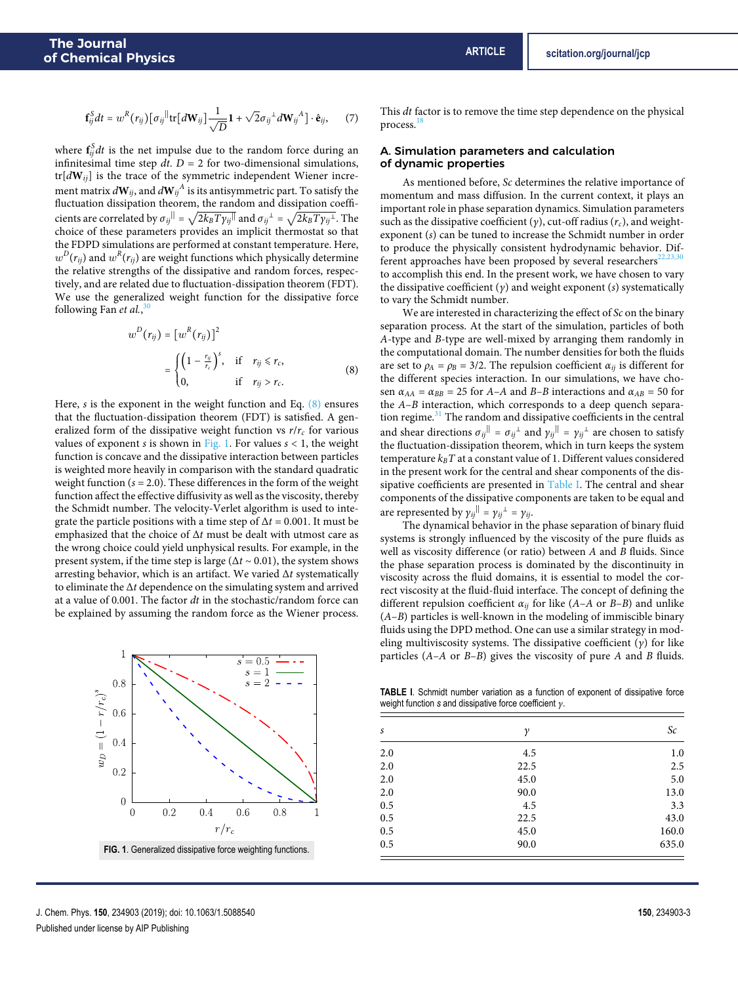$$
\mathbf{f}_{ij}^{S}dt = w^{R}(r_{ij})\big[\sigma_{ij}^{||} \text{tr}\big[d\mathbf{W}_{ij}\big]\frac{1}{\sqrt{D}}\mathbf{1} + \sqrt{2}\sigma_{ij}^{1}d\mathbf{W}_{ij}^{A}\big]\cdot\hat{\mathbf{e}}_{ij}, \qquad (7)
$$

where  $\mathbf{f}_{ij}^S dt$  is the net impulse due to the random force during an infinitesimal time step  $dt$ .  $D = 2$  for two-dimensional simulations, tr[d**W**ij] is the trace of the symmetric independent Wiener increment matrix  $d{\bf W}_{ij}$ , and  $d{\bf W}_{ij}^A$  is its antisymmetric part. To satisfy the fluctuation dissipation theorem, the random and dissipation coefficients are correlated by  $\sigma_{ij}$ <sup>||</sup> =  $\sqrt{2k_B T \gamma_{ij}^{||}}$  and  $\sigma_{ij}^{\perp} = \sqrt{2k_B T \gamma_{ij}^{||}}$ . The choice of these parameters provides an implicit thermostat so that the FDPD simulations are performed at constant temperature. Here,  $w^D(r_{ij})$  and  $w^R(r_{ij})$  are weight functions which physically determine the relative strengths of the dissipative and random forces, respectively, and are related due to fluctuation-dissipation theorem (FDT). We use the generalized weight function for the dissipative force following Fan et al., 30

$$
w^{D}(r_{ij}) = [w^{R}(r_{ij})]^{2}
$$
  
= 
$$
\begin{cases} \left(1 - \frac{r_{ij}}{r_{c}}\right)^{s}, & \text{if } r_{ij} \leq r_{c}, \\ 0, & \text{if } r_{ij} > r_{c}. \end{cases}
$$
(8)

Here, s is the exponent in the weight function and Eq.  $(8)$  ensures that the fluctuation-dissipation theorem (FDT) is satisfied. A generalized form of the dissipative weight function vs  $r/r_c$  for various values of exponent s is shown in Fig. 1. For values  $s < 1$ , the weight function is concave and the dissipative interaction between particles is weighted more heavily in comparison with the standard quadratic weight function ( $s = 2.0$ ). These differences in the form of the weight function affect the effective diffusivity as well as the viscosity, thereby the Schmidt number. The velocity-Verlet algorithm is used to integrate the particle positions with a time step of  $\Delta t = 0.001$ . It must be emphasized that the choice of  $\Delta t$  must be dealt with utmost care as the wrong choice could yield unphysical results. For example, in the present system, if the time step is large ( $\Delta t \sim 0.01$ ), the system shows arresting behavior, which is an artifact. We varied  $\Delta t$  systematically to eliminate the ∆t dependence on the simulating system and arrived at a value of 0.001. The factor dt in the stochastic/random force can be explained by assuming the random force as the Wiener process.



J. Chem. Phys. **150**, 234903 (2019); doi: 10.1063/1.5088540 **150**, 234903-3 Published under license by AIP Publishing

This dt factor is to remove the time step dependence on the physical process.

#### A. Simulation parameters and calculation of dynamic properties

As mentioned before, Sc determines the relative importance of momentum and mass diffusion. In the current context, it plays an important role in phase separation dynamics. Simulation parameters such as the dissipative coefficient (y), cut-off radius ( $r_c$ ), and weightexponent (s) can be tuned to increase the Schmidt number in order to produce the physically consistent hydrodynamic behavior. Different approaches have been proposed by several researchers $22,23$ to accomplish this end. In the present work, we have chosen to vary the dissipative coefficient  $(y)$  and weight exponent  $(s)$  systematically to vary the Schmidt number.

We are interested in characterizing the effect of  $Sc$  on the binary separation process. At the start of the simulation, particles of both A-type and B-type are well-mixed by arranging them randomly in the computational domain. The number densities for both the fluids are set to  $\rho_A = \rho_B = 3/2$ . The repulsion coefficient  $\alpha_{ij}$  is different for the different species interaction. In our simulations, we have chosen  $\alpha_{AA} = \alpha_{BB} = 25$  for A–A and B–B interactions and  $\alpha_{AB} = 50$  for the A–B interaction, which corresponds to a deep quench separation regime.<sup>31</sup> The random and dissipative coefficients in the central and shear directions  $\sigma_{ij}^{||} = \sigma_{ij}^{+}$  and  $\gamma_{ij}^{||} = \gamma_{ij}^{-1}$  are chosen to satisfy the fluctuation-dissipation theorem, which in turn keeps the system temperature  $k_B T$  at a constant value of 1. Different values considered in the present work for the central and shear components of the dissipative coefficients are presented in Table I. The central and shear components of the dissipative components are taken to be equal and are represented by  $\gamma_{ij}$ <sup>||</sup> =  $\gamma_{ij}$ <sup>1</sup> =  $\gamma_{ij}$ .

The dynamical behavior in the phase separation of binary fluid systems is strongly influenced by the viscosity of the pure fluids as well as viscosity difference (or ratio) between A and B fluids. Since the phase separation process is dominated by the discontinuity in viscosity across the fluid domains, it is essential to model the correct viscosity at the fluid-fluid interface. The concept of defining the different repulsion coefficient  $\alpha_{ij}$  for like (A–A or B–B) and unlike  $(A-B)$  particles is well-known in the modeling of immiscible binary fluids using the DPD method. One can use a similar strategy in modeling multiviscosity systems. The dissipative coefficient  $(y)$  for like particles  $(A-A \text{ or } B-B)$  gives the viscosity of pure A and B fluids.

**TABLE I**. Schmidt number variation as a function of exponent of dissipative force weight function *s* and dissipative force coefficient γ.

| S   | γ    | $\mathcal{S}c$ |
|-----|------|----------------|
| 2.0 | 4.5  | 1.0            |
| 2.0 | 22.5 | 2.5            |
| 2.0 | 45.0 | 5.0            |
| 2.0 | 90.0 | 13.0           |
| 0.5 | 4.5  | 3.3            |
| 0.5 | 22.5 | 43.0           |
| 0.5 | 45.0 | 160.0          |
| 0.5 | 90.0 | 635.0          |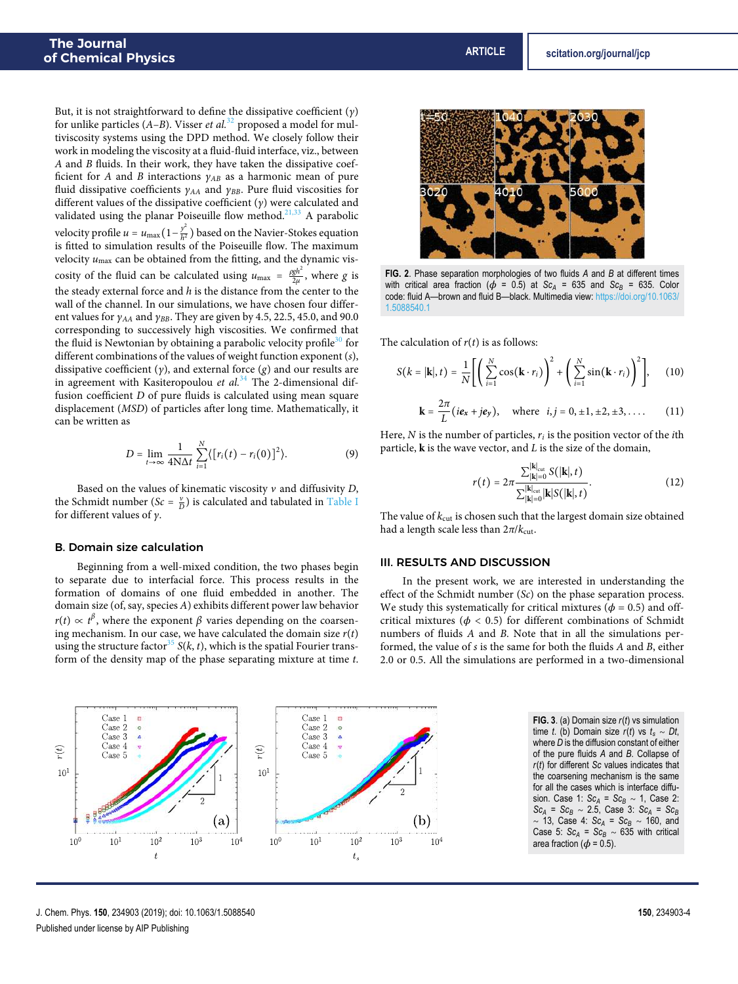But, it is not straightforward to define the dissipative coefficient  $(y)$ for unlike particles  $(A-B)$ . Visser *et al.*<sup>32</sup> proposed a model for multiviscosity systems using the DPD method. We closely follow their work in modeling the viscosity at a fluid-fluid interface, viz., between A and B fluids. In their work, they have taken the dissipative coefficient for A and B interactions  $\gamma_{AB}$  as a harmonic mean of pure fluid dissipative coefficients  $\gamma_{AA}$  and  $\gamma_{BB}$ . Pure fluid viscosities for different values of the dissipative coefficient  $(y)$  were calculated and validated using the planar Poiseuille flow method. $21,33$  A parabolic velocity profile  $u = u_{\text{max}} \left( 1 - \frac{y^2}{h^2} \right)$  $\frac{y}{h^2}$ ) based on the Navier-Stokes equation is fitted to simulation results of the Poiseuille flow. The maximum velocity  $u_{\text{max}}$  can be obtained from the fitting, and the dynamic viscosity of the fluid can be calculated using  $u_{\text{max}} = \frac{\rho g h^2}{2\mu}$ , where g is the steady external force and  $h$  is the distance from the center to the wall of the channel. In our simulations, we have chosen four different values for  $\gamma_{AA}$  and  $\gamma_{BB}$ . They are given by 4.5, 22.5, 45.0, and 90.0 corresponding to successively high viscosities. We confirmed that the fluid is Newtonian by obtaining a parabolic velocity profile<sup>30</sup> for different combinations of the values of weight function exponent (s), dissipative coefficient  $(y)$ , and external force  $(g)$  and our results are in agreement with Kasiteropoulou et  $al.^{34}$  The 2-dimensional diffusion coefficient D of pure fluids is calculated using mean square displacement (MSD) of particles after long time. Mathematically, it can be written as

$$
D = \lim_{t \to \infty} \frac{1}{4N\Delta t} \sum_{i=1}^{N} \langle [r_i(t) - r_i(0)]^2 \rangle.
$$
 (9)

Based on the values of kinematic viscosity  $\nu$  and diffusivity D, the Schmidt number ( $Sc = \frac{v}{D}$ ) is calculated and tabulated in Table I for different values of  $\nu$ .

#### B. Domain size calculation

 $r(t)$ 

Beginning from a well-mixed condition, the two phases begin to separate due to interfacial force. This process results in the formation of domains of one fluid embedded in another. The domain size (of, say, species A) exhibits different power law behavior  $r(t) \propto t^{\beta}$ , where the exponent  $\beta$  varies depending on the coarsening mechanism. In our case, we have calculated the domain size  $r(t)$ using the structure factor<sup>35</sup> S(k, t), which is the spatial Fourier transform of the density map of the phase separating mixture at time t.

**FIG. 2**. Phase separation morphologies of two fluids *A* and *B* at different times with critical area fraction ( $\phi$  = 0.5) at *Sc<sub>A</sub>* = 635 and *Sc<sub>B</sub>* = 635. Color code: fluid A—brown and fluid B—black. Multimedia view: https://doi.org/10.1063/ 1.5088540.1

The calculation of  $r(t)$  is as follows:

$$
S(k = |\mathbf{k}|, t) = \frac{1}{N} \Biggl[ \Biggl( \sum_{i=1}^{N} \cos(\mathbf{k} \cdot r_i) \Biggr)^2 + \Biggl( \sum_{i=1}^{N} \sin(\mathbf{k} \cdot r_i) \Biggr)^2 \Biggr], \quad (10)
$$

$$
\mathbf{k} = \frac{2\pi}{L}(i\mathbf{e}_x + j\mathbf{e}_y), \text{ where } i, j = 0, \pm 1, \pm 2, \pm 3, \dots \quad (11)
$$

Here,  $N$  is the number of particles,  $r_i$  is the position vector of the *i*th particle, **k** is the wave vector, and L is the size of the domain,

$$
r(t) = 2\pi \frac{\sum_{|\mathbf{k}|=0}^{|\mathbf{k}|_{\text{cut}}} S(|\mathbf{k}|, t)}{\sum_{|\mathbf{k}|=0}^{|\mathbf{k}|_{\text{cut}}} |\mathbf{k}| S(|\mathbf{k}|, t)}.
$$
 (12)

The value of  $k_{\text{cut}}$  is chosen such that the largest domain size obtained had a length scale less than  $2\pi/k_{\text{cut}}$ .

#### III. RESULTS AND DISCUSSION

In the present work, we are interested in understanding the effect of the Schmidt number (Sc) on the phase separation process. We study this systematically for critical mixtures ( $\phi = 0.5$ ) and offcritical mixtures ( $\phi$  < 0.5) for different combinations of Schmidt numbers of fluids A and B. Note that in all the simulations performed, the value of s is the same for both the fluids A and B, either 2.0 or 0.5. All the simulations are performed in a two-dimensional

**FIG. 3**. (a) Domain size *r*(*t*) vs simulation time *t*. (b) Domain size  $r(t)$  vs  $t_s ∼ Dt$ , where *D* is the diffusion constant of either of the pure fluids *A* and *B*. Collapse of *r*(*t*) for different *Sc* values indicates that the coarsening mechanism is the same for all the cases which is interface diffusion. Case 1: *Sc<sup>A</sup>* <sup>=</sup> *Sc<sup>B</sup>* <sup>∼</sup> 1, Case 2: *Sc<sup>A</sup>* <sup>=</sup> *Sc<sup>B</sup>* <sup>∼</sup> 2.5, Case 3: *Sc<sup>A</sup>* <sup>=</sup> *Sc<sup>B</sup>* <sup>∼</sup> 13, Case 4: *Sc<sup>A</sup>* <sup>=</sup> *Sc<sup>B</sup>* <sup>∼</sup> 160, and Case 5:  $Sc_A = Sc_B \sim 635$  with critical area fraction ( $\phi$  = 0.5).



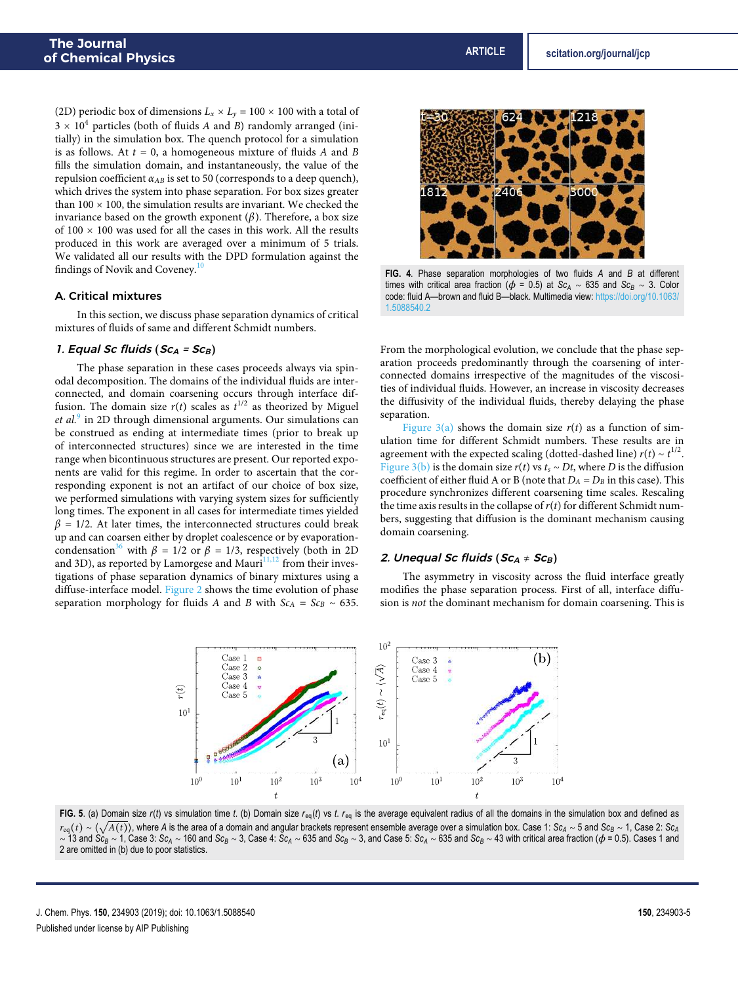(2D) periodic box of dimensions  $L_x \times L_y = 100 \times 100$  with a total of  $3 \times 10^4$  particles (both of fluids A and B) randomly arranged (initially) in the simulation box. The quench protocol for a simulation is as follows. At  $t = 0$ , a homogeneous mixture of fluids A and B fills the simulation domain, and instantaneously, the value of the repulsion coefficient  $\alpha_{AB}$  is set to 50 (corresponds to a deep quench), which drives the system into phase separation. For box sizes greater than  $100 \times 100$ , the simulation results are invariant. We checked the invariance based on the growth exponent  $(\beta)$ . Therefore, a box size of  $100 \times 100$  was used for all the cases in this work. All the results produced in this work are averaged over a minimum of 5 trials. We validated all our results with the DPD formulation against the findings of Novik and Coveney.<sup>10</sup>

#### A. Critical mixtures

In this section, we discuss phase separation dynamics of critical mixtures of fluids of same and different Schmidt numbers.

#### 1. Equal Sc fluids  $(Sc_A = Sc_B)$

The phase separation in these cases proceeds always via spinodal decomposition. The domains of the individual fluids are interconnected, and domain coarsening occurs through interface diffusion. The domain size  $r(t)$  scales as  $t^{1/2}$  as theorized by Miguel et al.<sup>9</sup> in 2D through dimensional arguments. Our simulations can be construed as ending at intermediate times (prior to break up of interconnected structures) since we are interested in the time range when bicontinuous structures are present. Our reported exponents are valid for this regime. In order to ascertain that the corresponding exponent is not an artifact of our choice of box size, we performed simulations with varying system sizes for sufficiently long times. The exponent in all cases for intermediate times yielded  $\beta$  = 1/2. At later times, the interconnected structures could break up and can coarsen either by droplet coalescence or by evaporationcondensation<sup>36</sup> with  $\beta = 1/2$  or  $\beta = 1/3$ , respectively (both in 2D) and 3D), as reported by Lamorgese and Mauri $11,12$  from their investigations of phase separation dynamics of binary mixtures using a diffuse-interface model. Figure 2 shows the time evolution of phase separation morphology for fluids A and B with  $Sc<sub>A</sub> = Sc<sub>B</sub> ~ 635$ .



**FIG. 4**. Phase separation morphologies of two fluids *A* and *B* at different times with critical area fraction ( $\phi$  = 0.5) at *Sc<sub>A</sub>* ~ 635 and *Sc<sub>B</sub>* ~ 3. Color code: fluid A—brown and fluid B—black. Multimedia view: https://doi.org/10.1063/ 1.5088540.2

From the morphological evolution, we conclude that the phase separation proceeds predominantly through the coarsening of interconnected domains irrespective of the magnitudes of the viscosities of individual fluids. However, an increase in viscosity decreases the diffusivity of the individual fluids, thereby delaying the phase separation.

Figure  $3(a)$  shows the domain size  $r(t)$  as a function of simulation time for different Schmidt numbers. These results are in agreement with the expected scaling (dotted-dashed line)  $r(t) \sim t^{1/2}$ . Figure 3(b) is the domain size  $r(t)$  vs  $t_s \sim Dt$ , where D is the diffusion coefficient of either fluid A or B (note that  $D_A = D_B$  in this case). This procedure synchronizes different coarsening time scales. Rescaling the time axis results in the collapse of  $r(t)$  for different Schmidt numbers, suggesting that diffusion is the dominant mechanism causing domain coarsening.

#### 2. Unequal Sc fluids (Sc<sub>A</sub> ≠ Sc<sub>B</sub>)

The asymmetry in viscosity across the fluid interface greatly modifies the phase separation process. First of all, interface diffusion is not the dominant mechanism for domain coarsening. This is



FIG. 5. (a) Domain size  $r(t)$  vs simulation time t. (b) Domain size  $r_{eq}(t)$  vs t.  $r_{eq}$  is the average equivalent radius of all the domains in the simulation box and defined as <sup>r</sup>eq(<sup>t</sup>) ∼ ⟨√ <sup>A</sup>(t)⟩, where *<sup>A</sup>* is the area of a domain and angular brackets represent ensemble average over a simulation box. Case 1: *Sc<sup>A</sup>* <sup>∼</sup> 5 and *Sc<sup>B</sup>* <sup>∼</sup> 1, Case 2: *Sc<sup>A</sup>*  $\sim$  13 and Sc<sub>B</sub>  $\sim$  1, Case 3: Sc<sub>A</sub>  $\sim$  160 and Sc<sub>B</sub>  $\sim$  3, Case 4: Sc<sub>A</sub>  $\sim$  635 and Sc<sub>B</sub>  $\sim$  3, and Case 5: Sc<sub>A</sub>  $\sim$  635 and Sc<sub>B</sub>  $\sim$  43 with critical area fraction ( $\phi$  = 0.5). Cases 1 and 2 are omitted in (b) due to poor statistics.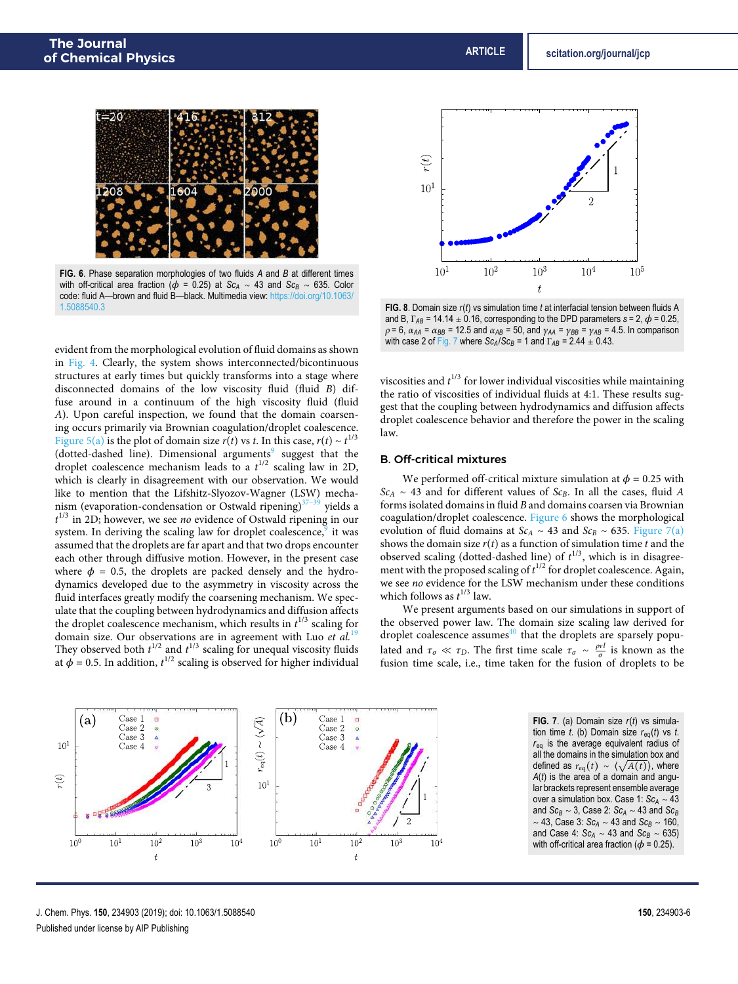

**FIG. 6**. Phase separation morphologies of two fluids *A* and *B* at different times with off-critical area fraction ( $\phi$  = 0.25) at *Sc<sub>A</sub>* ~ 43 and *Sc<sub>B</sub>* ~ 635. Color code: fluid A—brown and fluid B—black. Multimedia view: https://doi.org/10.1063/ 1.5088540.3

evident from the morphological evolution of fluid domains as shown in Fig. 4. Clearly, the system shows interconnected/bicontinuous structures at early times but quickly transforms into a stage where disconnected domains of the low viscosity fluid (fluid B) diffuse around in a continuum of the high viscosity fluid (fluid A). Upon careful inspection, we found that the domain coarsening occurs primarily via Brownian coagulation/droplet coalescence. Figure 5(a) is the plot of domain size  $r(t)$  vs t. In this case,  $r(t) \sim t^{1/3}$ (dotted-dashed line). Dimensional arguments<sup>9</sup> suggest that the droplet coalescence mechanism leads to a  $t^{1/2}$  scaling law in 2D, which is clearly in disagreement with our observation. We would like to mention that the Lifshitz-Slyozov-Wagner (LSW) mechanism (evaporation-condensation or Ostwald ripening) $37-39$  yields a  $t^{1/3}$  in 2D; however, we see no evidence of Ostwald ripening in our system. In deriving the scaling law for droplet coalescence, it was assumed that the droplets are far apart and that two drops encounter each other through diffusive motion. However, in the present case where  $\phi = 0.5$ , the droplets are packed densely and the hydrodynamics developed due to the asymmetry in viscosity across the fluid interfaces greatly modify the coarsening mechanism. We speculate that the coupling between hydrodynamics and diffusion affects the droplet coalescence mechanism, which results in  $t^{1/3}$  scaling for domain size. Our observations are in agreement with Luo et  $al$ .<sup>19</sup> They observed both  $t^{1/2}$  and  $t^{1/3}$  scaling for unequal viscosity fluids at  $\phi$  = 0.5. In addition,  $t^{1/2}$  scaling is observed for higher individual



**FIG. 8**. Domain size *r*(*t*) vs simulation time *t* at interfacial tension between fluids A and B,  $\Gamma_{AB}$  = 14.14  $\pm$  0.16, corresponding to the DPD parameters  $s = 2$ ,  $\phi = 0.25$ ,  $ρ = 6$ ,  $α<sub>AA</sub> = α<sub>BB</sub> = 12.5$  and  $α<sub>AB</sub> = 50$ , and  $γ<sub>AA</sub> = γ<sub>BB</sub> = γ<sub>AB</sub> = 4.5$ . In comparison with case 2 of Fig. 7 where  $Sc_A/Sc_B = 1$  and  $\Gamma_{AB} = 2.44 \pm 0.43$ .

viscosities and  $t^{1/3}$  for lower individual viscosities while maintaining the ratio of viscosities of individual fluids at 4:1. These results suggest that the coupling between hydrodynamics and diffusion affects droplet coalescence behavior and therefore the power in the scaling law.

#### B. Off-critical mixtures

We performed off-critical mixture simulation at  $\phi = 0.25$  with  $Sc<sub>A</sub> ~ 43$  and for different values of  $Sc<sub>B</sub>$ . In all the cases, fluid A forms isolated domains in fluid B and domains coarsen via Brownian coagulation/droplet coalescence. Figure 6 shows the morphological evolution of fluid domains at  $Sc_A \sim 43$  and  $Sc_B \sim 635$ . Figure 7(a) shows the domain size  $r(t)$  as a function of simulation time t and the observed scaling (dotted-dashed line) of  $t^{1/3}$ , which is in disagreement with the proposed scaling of  $t^{1/2}$  for droplet coalescence. Again, we see no evidence for the LSW mechanism under these conditions which follows as  $t^{1/3}$  law.

We present arguments based on our simulations in support of the observed power law. The domain size scaling law derived for droplet coalescence assumes<sup>40</sup> that the droplets are sparsely populated and  $\tau_{\sigma} \ll \tau_D$ . The first time scale  $\tau_{\sigma} \sim \frac{\rho v l}{\sigma}$  is known as the fusion time scale, i.e., time taken for the fusion of droplets to be



**FIG. 7**. (a) Domain size *r*(*t*) vs simulation time *t*. (b) Domain size *r*eq(*t*) vs *t*. *r*eq is the average equivalent radius of all the domains in the simulation box and defined as  $r_{eq}(t) \sim \langle \sqrt{A(t)} \rangle$ , where *A*(*t*) is the area of a domain and angular brackets represent ensemble average over a simulation box. Case 1: *Sc<sup>A</sup>* <sup>∼</sup> <sup>43</sup> and  $Sc_B \sim 3$ , Case 2:  $Sc_A \sim 43$  and  $Sc_B$ <sup>∼</sup> 43, Case 3: *Sc<sup>A</sup>* <sup>∼</sup> 43 and *Sc<sup>B</sup>* <sup>∼</sup> 160, and Case 4:  $Sc_A \sim 43$  and  $Sc_B \sim 635$ ) with off-critical area fraction ( $\phi$  = 0.25).

J. Chem. Phys. **150**, 234903 (2019); doi: 10.1063/1.5088540 **150**, 234903-6 Published under license by AIP Publishing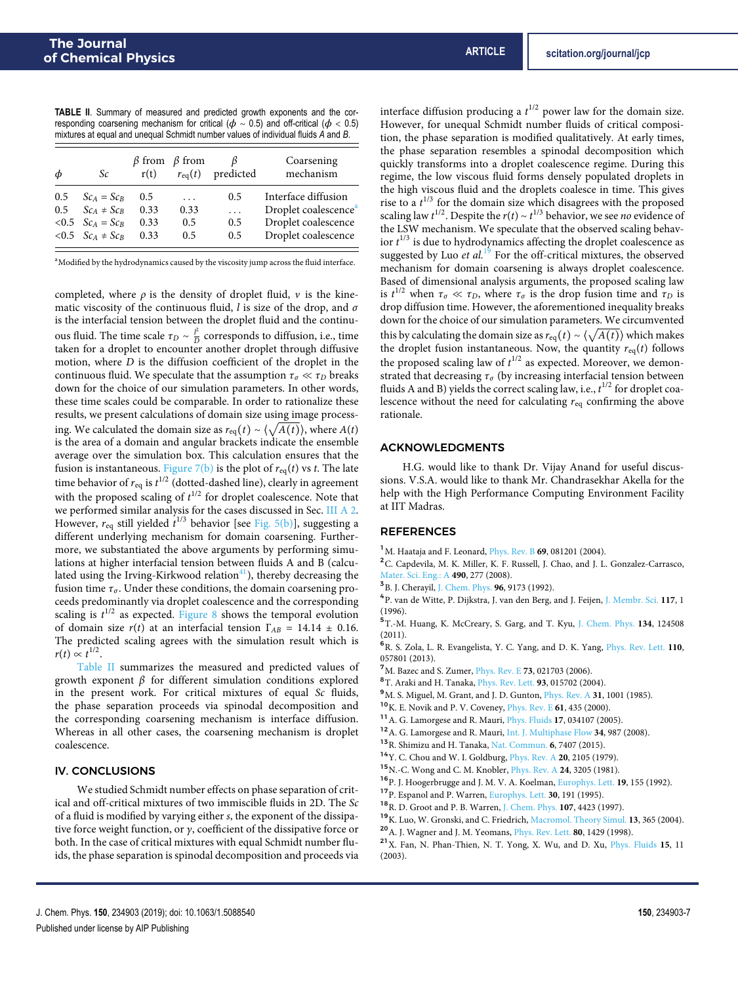**TABLE II**. Summary of measured and predicted growth exponents and the corresponding coarsening mechanism for critical ( $\phi \sim 0.5$ ) and off-critical ( $\phi < 0.5$ ) mixtures at equal and unequal Schmidt number values of individual fluids *A* and *B*.

| Φ             | Sc                       | r(t) | $\beta$ from $\beta$ from<br>$r_{\rm eq}(t)$ | predicted | Coarsening<br>mechanism          |
|---------------|--------------------------|------|----------------------------------------------|-----------|----------------------------------|
| 0.5           | $Sc_A = Sc_B$            | 0.5  | .                                            | 0.5       | Interface diffusion              |
| $0.5^{\circ}$ | $Sc_A \neq Sc_B$         | 0.33 | 0.33                                         | .         | Droplet coalescence <sup>4</sup> |
|               | $< 0.5$ $ScA = ScB$      | 0.33 | 0.5                                          | 0.5       | Droplet coalescence              |
|               | $< 0.5$ $Sc_A \neq Sc_B$ | 0.33 | 0.5                                          | 0.5       | Droplet coalescence              |

<sup>a</sup>Modified by the hydrodynamics caused by the viscosity jump across the fluid interface.

completed, where  $\rho$  is the density of droplet fluid,  $\nu$  is the kinematic viscosity of the continuous fluid, l is size of the drop, and  $\sigma$ is the interfacial tension between the droplet fluid and the continuous fluid. The time scale  $\tau_D \sim \frac{l^2}{D}$  $\frac{p}{D}$  corresponds to diffusion, i.e., time taken for a droplet to encounter another droplet through diffusive motion, where  $D$  is the diffusion coefficient of the droplet in the continuous fluid. We speculate that the assumption  $\tau_{\sigma} \ll \tau_D$  breaks down for the choice of our simulation parameters. In other words, these time scales could be comparable. In order to rationalize these results, we present calculations of domain size using image processing. We calculated the domain size as  $r_{eq}(t) \sim \langle \sqrt{A(t)} \rangle$ , where  $A(t)$ is the area of a domain and angular brackets indicate the ensemble average over the simulation box. This calculation ensures that the fusion is instantaneous. Figure 7(b) is the plot of  $r_{eq}(t)$  vs t. The late time behavior of  $r_{\rm eq}$  is  $t^{1/2}$  (dotted-dashed line), clearly in agreement with the proposed scaling of  $t^{1/2}$  for droplet coalescence. Note that we performed similar analysis for the cases discussed in Sec. III A 2. However,  $r_{eq}$  still yielded  $t^{1/3}$  behavior [see Fig. 5(b)], suggesting a different underlying mechanism for domain coarsening. Furthermore, we substantiated the above arguments by performing simulations at higher interfacial tension between fluids A and B (calculated using the Irving-Kirkwood relation $41$ ), thereby decreasing the fusion time  $\tau_{\sigma}$ . Under these conditions, the domain coarsening proceeds predominantly via droplet coalescence and the corresponding scaling is  $t^{1/2}$  as expected. Figure 8 shows the temporal evolution of domain size  $r(t)$  at an interfacial tension  $\Gamma_{AB} = 14.14 \pm 0.16$ . The predicted scaling agrees with the simulation result which is  $r(t) \propto t^{1/2}.$ 

Table II summarizes the measured and predicted values of growth exponent β for different simulation conditions explored in the present work. For critical mixtures of equal Sc fluids, the phase separation proceeds via spinodal decomposition and the corresponding coarsening mechanism is interface diffusion. Whereas in all other cases, the coarsening mechanism is droplet coalescence.

#### IV. CONCLUSIONS

We studied Schmidt number effects on phase separation of critical and off-critical mixtures of two immiscible fluids in 2D. The Sc of a fluid is modified by varying either s, the exponent of the dissipative force weight function, or γ, coefficient of the dissipative force or both. In the case of critical mixtures with equal Schmidt number fluids, the phase separation is spinodal decomposition and proceeds via

interface diffusion producing a  $t^{1/2}$  power law for the domain size. However, for unequal Schmidt number fluids of critical composition, the phase separation is modified qualitatively. At early times, the phase separation resembles a spinodal decomposition which quickly transforms into a droplet coalescence regime. During this regime, the low viscous fluid forms densely populated droplets in the high viscous fluid and the droplets coalesce in time. This gives rise to a  $t^{1/3}$  for the domain size which disagrees with the proposed scaling law  $t^{1/2}$ . Despite the  $r(t) \sim t^{1/3}$  behavior, we see no evidence of the LSW mechanism. We speculate that the observed scaling behavior  $t^{1/3}$  is due to hydrodynamics affecting the droplet coalescence as suggested by Luo et  $al$ .<sup>19</sup> For the off-critical mixtures, the observed mechanism for domain coarsening is always droplet coalescence. Based of dimensional analysis arguments, the proposed scaling law is  $t^{1/2}$  when  $\tau_{\sigma} \ll \tau_D$ , where  $\tau_{\sigma}$  is the drop fusion time and  $\tau_D$  is drop diffusion time. However, the aforementioned inequality breaks down for the choice of our simulation parameters. We circumvented this by calculating the domain size as  $r_{eq}(t) \sim \langle \sqrt{A(t)} \rangle$  which makes the droplet fusion instantaneous. Now, the quantity  $r_{eq}(t)$  follows the proposed scaling law of  $t^{1/2}$  as expected. Moreover, we demonstrated that decreasing  $\tau_{\sigma}$  (by increasing interfacial tension between fluids A and B) yields the correct scaling law, i.e.,  $t^{1/2}$  for droplet coalescence without the need for calculating  $r_{eq}$  confirming the above rationale.

#### ACKNOWLEDGMENTS

H.G. would like to thank Dr. Vijay Anand for useful discussions. V.S.A. would like to thank Mr. Chandrasekhar Akella for the help with the High Performance Computing Environment Facility at IIT Madras.

#### **REFERENCES**

- <sup>1</sup>M. Haataja and F. Leonard, Phys. Rev. B **69**, 081201 (2004).
- <sup>2</sup>C. Capdevila, M. K. Miller, K. F. Russell, J. Chao, and J. L. Gonzalez-Carrasco, Mater. Sci. Eng.: A **490**, 277 (2008).
- 3 B. J. Cherayil, J. Chem. Phys. **96**, 9173 (1992).
- 4 P. van de Witte, P. Dijkstra, J. van den Berg, and J. Feijen, J. Membr. Sci. **117**, 1 (1996).
- <sup>5</sup>T.-M. Huang, K. McCreary, S. Garg, and T. Kyu, J. Chem. Phys. **134**, 124508 (2011).
- <sup>6</sup>R. S. Zola, L. R. Evangelista, Y. C. Yang, and D. K. Yang, Phys. Rev. Lett. **110**, 057801 (2013).
- <sup>7</sup>M. Bazec and S. Zumer, Phys. Rev. E **73**, 021703 (2006).
- <sup>8</sup>T. Araki and H. Tanaka, Phys. Rev. Lett. **93**, 015702 (2004).
- <sup>9</sup>M. S. Miguel, M. Grant, and J. D. Gunton, Phys. Rev. A **31**, 1001 (1985).
- <sup>10</sup>K. E. Novik and P. V. Coveney, Phys. Rev. E **61**, 435 (2000).
- <sup>11</sup>A. G. Lamorgese and R. Mauri, Phys. Fluids **17**, 034107 (2005).
- <sup>12</sup>A. G. Lamorgese and R. Mauri, Int. J. Multiphase Flow **34**, 987 (2008).
- <sup>13</sup>R. Shimizu and H. Tanaka, Nat. Commun. **6**, 7407 (2015).
- <sup>14</sup>Y. C. Chou and W. I. Goldburg, Phys. Rev. A **20**, 2105 (1979).
- <sup>15</sup>N.-C. Wong and C. M. Knobler, Phys. Rev. A **24**, 3205 (1981).
- <sup>16</sup>P. J. Hoogerbrugge and J. M. V. A. Koelman, Europhys. Lett. **19**, 155 (1992).
- <sup>17</sup>P. Espanol and P. Warren, Europhys. Lett. **30**, 191 (1995).
- <sup>18</sup>R. D. Groot and P. B. Warren, J. Chem. Phys. **107**, 4423 (1997).
- <sup>19</sup>K. Luo, W. Gronski, and C. Friedrich, Macromol. Theory Simul. **13**, 365 (2004).
- <sup>20</sup>A. J. Wagner and J. M. Yeomans, Phys. Rev. Lett. **80**, 1429 (1998).
- <sup>21</sup>X. Fan, N. Phan-Thien, N. T. Yong, X. Wu, and D. Xu, Phys. Fluids **15**, 11 (2003).